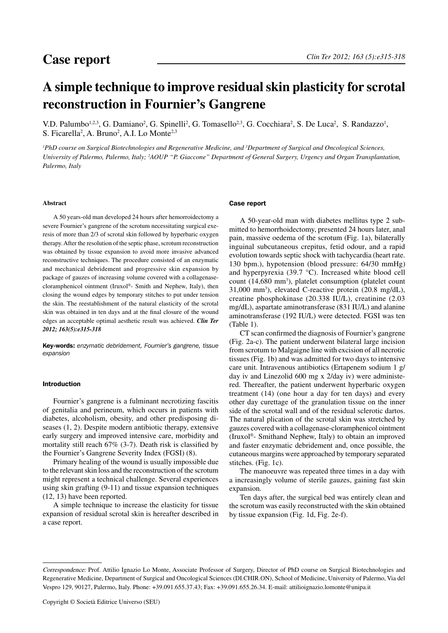# **A simple technique to improve residual skin plasticity for scrotal reconstruction in Fournier's Gangrene**

V.D. Palumbo<sup>1,2,3</sup>, G. Damiano<sup>2</sup>, G. Spinelli<sup>2</sup>, G. Tomasello<sup>2,3</sup>, G. Cocchiara<sup>2</sup>, S. De Luca<sup>2</sup>, S. Randazzo<sup>1</sup>, S. Ficarella<sup>2</sup>, A. Bruno<sup>2</sup>, A.I. Lo Monte<sup>2,3</sup>

<sup>*I*</sup>PhD course on Surgical Biotechnologies and Regenerative Medicine, and <sup>3</sup>Department of Surgical and Oncological Sciences, *University of Palermo, Palermo, Italy; 2 AOUP "P. Giaccone" Department of General Surgery, Urgency and Organ Transplantation, Palermo, Italy*

## **Abstract**

A 50 years-old man developed 24 hours after hemorroidectomy a severe Fournier's gangrene of the scrotum necessitating surgical exeresis of more than 2/3 of scrotal skin followed by hyperbaric oxygen therapy. After the resolution of the septic phase, scrotum reconstruction was obtained by tissue expansion to avoid more invasive advanced reconstructive techniques. The procedure consisted of an enzymatic and mechanical debridement and progressive skin expansion by package of gauzes of increasing volume covered with a collagenasecloramphenicol ointment (Iruxol®- Smith and Nephew, Italy), then closing the wound edges by temporary stitches to put under tension the skin. The reestablishment of the natural elasticity of the scrotal skin was obtained in ten days and at the final closure of the wound edges an acceptable optimal aesthetic result was achieved. *Clin Ter 2012; 163(5):e315-318*

Key-words: *enzymatic debridement, Fournier's gangrene, tissue expansion* 

#### Introduction

Fournier's gangrene is a fulminant necrotizing fascitis of genitalia and perineum, which occurs in patients with diabetes, alcoholism, obesity, and other predisposing diseases (1, 2). Despite modern antibiotic therapy, extensive early surgery and improved intensive care, morbidity and mortality still reach 67% (3-7). Death risk is classified by the Fournier's Gangrene Severity Index (FGSI) (8).

Primary healing of the wound is usually impossible due to the relevant skin loss and the reconstruction of the scrotum might represent a technical challenge. Several experiences using skin grafting (9-11) and tissue expansion techniques (12, 13) have been reported.

A simple technique to increase the elasticity for tissue expansion of residual scrotal skin is hereafter described in a case report.

#### Case report

A 50-year-old man with diabetes mellitus type 2 submitted to hemorrhoidectomy, presented 24 hours later, anal pain, massive oedema of the scrotum (Fig. 1a), bilaterally inguinal subcutaneous crepitus, fetid odour, and a rapid evolution towards septic shock with tachycardia (heart rate. 130 bpm.), hypotension (blood pressure: 64/30 mmHg) and hyperpyrexia (39.7 °C). Increased white blood cell count (14,680 mm<sup>3</sup>), platelet consumption (platelet count 31,000 mm3 ), elevated C-reactive protein (20.8 mg/dL), creatine phosphokinase (20.338 IU/L), creatinine (2.03 mg/dL), aspartate aminotransferase (831 IU/L) and alanine aminotransferase (192 IU/L) were detected. FGSI was ten (Table 1).

CT scan confirmed the diagnosis of Fournier's gangrene (Fig. 2a-c). The patient underwent bilateral large incision from scrotum to Malgaigne line with excision of all necrotic tissues (Fig. 1b) and was admitted for two days to intensive care unit. Intravenous antibiotics (Ertapenem sodium 1 g/ day iv and Linezolid 600 mg x 2/day iv) were administered. Thereafter, the patient underwent hyperbaric oxygen treatment (14) (one hour a day for ten days) and every other day curettage of the granulation tissue on the inner side of the scrotal wall and of the residual sclerotic dartos. The natural plication of the scrotal skin was stretched by gauzes covered with a collagenase-cloramphenicol ointment (Iruxol®- Smithand Nephew, Italy) to obtain an improved and faster enzymatic debridement and, once possible, the cutaneous margins were approached by temporary separated stitches. (Fig. 1c).

The manoeuvre was repeated three times in a day with a increasingly volume of sterile gauzes, gaining fast skin expansion.

Ten days after, the surgical bed was entirely clean and the scrotum was easily reconstructed with the skin obtained by tissue expansion (Fig. 1d, Fig. 2e-f).

Correspondence: Prof. Attilio Ignazio Lo Monte, Associate Professor of Surgery, Director of PhD course on Surgical Biotechnologies and Regenerative Medicine, Department of Surgical and Oncological Sciences (DI.CHIR.ON), School of Medicine, University of Palermo, Via del Vespro 129, 90127, Palermo, Italy. Phone: +39.091.655.37.43; Fax: +39.091.655.26.34. E-mail: attilioignazio.lomonte@unipa.it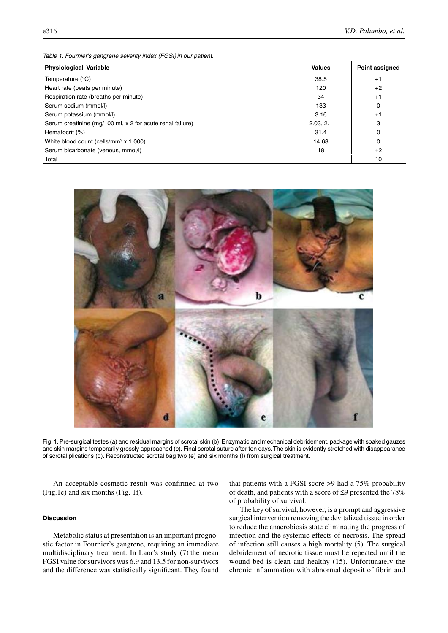*Table 1. Fournier's gangrene severity index (FGSI)in our patient.*

| <b>Physiological Variable</b>                             | <b>Values</b> | Point assigned |
|-----------------------------------------------------------|---------------|----------------|
| Temperature (°C)                                          | 38.5          | $+1$           |
| Heart rate (beats per minute)                             | 120           | $+2$           |
| Respiration rate (breaths per minute)                     | 34            | $+1$           |
| Serum sodium (mmol/l)                                     | 133           | 0              |
| Serum potassium (mmol/l)                                  | 3.16          | $+1$           |
| Serum creatinine (mg/100 ml, x 2 for acute renal failure) | 2.03.2.1      | 3              |
| Hematocrit (%)                                            | 31.4          | 0              |
| White blood count (cells/mm <sup>3</sup> x 1,000)         | 14.68         | 0              |
| Serum bicarbonate (venous, mmol/l)                        | 18            | $+2$           |
| Total                                                     |               | 10             |



Fig. 1. Pre-surgical testes (a) and residual margins of scrotal skin (b). Enzymatic and mechanical debridement, package with soaked gauzes and skin margins temporarily grossly approached (c). Final scrotal suture after ten days. The skin is evidently stretched with disappearance of scrotal plications (d). Reconstructed scrotal bag two (e) and six months (f) from surgical treatment.

An acceptable cosmetic result was confirmed at two (Fig.1e) and six months (Fig. 1f).

## **Discussion**

Metabolic status at presentation is an important prognostic factor in Fournier's gangrene, requiring an immediate multidisciplinary treatment. In Laor's study (7) the mean FGSI value for survivors was 6.9 and 13.5 for non-survivors and the difference was statistically significant. They found that patients with a FGSI score >9 had a 75% probability of death, and patients with a score of ≤9 presented the 78% of probability of survival.

The key of survival, however, is a prompt and aggressive surgical intervention removing the devitalized tissue in order to reduce the anaerobiosis state eliminating the progress of infection and the systemic effects of necrosis. The spread of infection still causes a high mortality (5). The surgical debridement of necrotic tissue must be repeated until the wound bed is clean and healthy (15). Unfortunately the chronic inflammation with abnormal deposit of fibrin and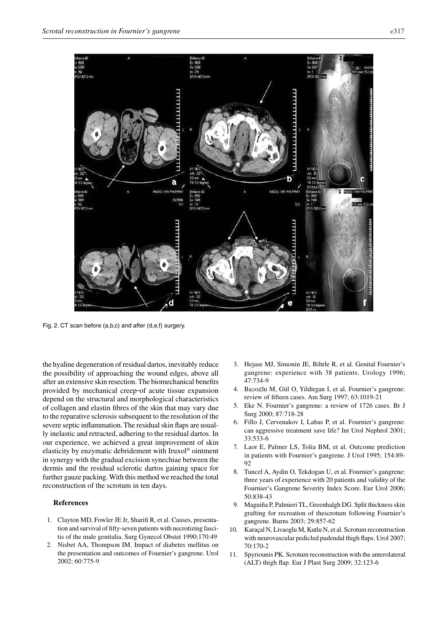



Fig. 2. CT scan before (a,b,c) and after (d,e,f) surgery.

the hyaline degeneration of residual dartos, inevitably reduce the possibility of approaching the wound edges, above all after an extensive skin resection. The biomechanical benefits provided by mechanical creep-of acute tissue expansion depend on the structural and morphological characteristics of collagen and elastin fibres of the skin that may vary due to the reparative sclerosis subsequent to the resolution of the severe septic inflammation. The residual skin flaps are usually inelastic and retracted, adhering to the residual dartos. In our experience, we achieved a great improvement of skin elasticity by enzymatic debridement with Iruxol® ointment in synergy with the gradual excision synechiae between the dermis and the residual sclerotic dartos gaining space for further gauze packing. With this method we reached the total reconstruction of the scrotum in ten days.

### **References**

- 1. Clayton MD, Fowler JE Jr, Sharifi R, et al. Causes, presentation and survival of fifty-seven patients with necrotizing fascitis of the male genitalia. Surg Gynecol Obstet 1990;170:49
- 2. Nisbet AA, Thompson IM. Impact of diabetes mellitus on the presentation and outcomes of Fournier's gangrene. Urol 2002; 60:775-9
- 3. Hejase MJ, Simonin JE, Bihrle R, et al. Genital Fournier's gangrene: experience with 38 patients. Urology 1996; 47:734-9
- 4. Başoğlu M, Gül O, Yildirgan I, et al. Fournier's gangrene: review of fifteen cases. Am Surg 1997; 63:1019-21
- 5. Eke N. Fournier's gangrene: a review of 1726 cases. Br J Surg 2000; 87:718-28
- 6. Fillo J, Cervenakov I, Labas P, et al. Fournier's gangrene: can aggressive treatment save life? Int Urol Nephrol 2001; 33:533-6
- 7. Laor E, Palmer LS, Tolia BM, et al. Outcome prediction in patients with Fournier's gangrene. J Urol 1995; 154:89- 92
- 8. Tuncel A, Aydin O, Tekdogan U, et al. Fournier's gangrene: three years of experience with 20 patients and validity of the Fournier's Gangrene Severity Index Score. Eur Urol 2006; 50:838-43
- 9. Maguiña P, Palmieri TL, Greenhalgh DG. Split thickness skin grafting for recreation of thescrotum following Fournier's gangrene. Burns 2003; 29:857-62
- 10. Karaçal N, Livaoglu M, Kutlu N, et al. Scrotum reconstruction with neurovascular pedicled pudendal thigh flaps. Urol 2007; 70:170-2
- 11. Spyriounis PK. Scrotum reconstruction with the anterolateral (ALT) thigh flap. Eur J Plast Surg 2009; 32:123-6